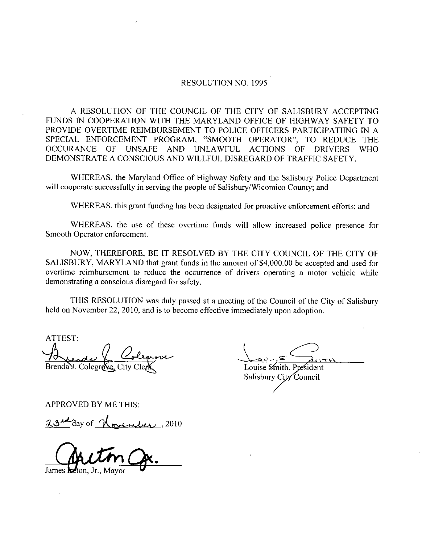## RESOLUTION NO. 1995

A RESOLUTION OF THE COUNCIL OF THE CITY OF SALISBURY ACCEPTING FUNDS IN COOPERATION WITH THE MARYLAND OFFICE OF HIGHWAY SAFETY TO PROVIDE OVERTIME REIMBURSEMENT TO POLICE OFFICERS PARTICIPATIING IN A RESOLUTION NO. 1995<br>
A RESOLUTION OF THE COUNCIL OF THE CITY OF SALISBURY ACCEPTING<br>
FUNDS IN COOPERATION WITH THE MARYLAND OFFICE OF HIGHWAY SAFETY TO<br>
PROVIDE OVERTIME REIMBURSEMENT TO POLICE OFFICERS PARTICIPATIING IN<br> OCCURANCE OF UNSAFE AND UNLAWFUL ACTIONS OF DRIVERS WHO DEMONSTRATE A CONSCIOUS AND WILLFUL DISREGARD OF TRAFFIC SAFETY.

WHEREAS, the Maryland Office of Highway Safety and the Salisbury Police Department will cooperate successfully in serving the people of Salisbury/Wicomico County; and

WHEREAS, this grant funding has been designated for proactive enforcement efforts; and

WHEREAS, the use of these overtime funds will allow increased police presence for Smooth Operator enforcement

NOW, THEREFORE, BE IT RESOLVED BY THE CITY COUNCIL OF THE CITY OF SALISBURY, MARYLAND that grant funds in the amount of \$4,000.00 be accepted and used for overtime reimbursement to reduce the occurrence of drivers operating a motor vehicle while demonstrating a conscious disregard for safety.

THIS RESOLUTION was duly passed at ameeting of the Council of the City of Salisbury held on November 22, 2010, and is to become effective immediately upon adoption.

ATTEST Le Coleanne Brenda Y. Colegrove, City ClerK Louise Smith, President

ر.<br>ك Salisbury City Council

APPROVED BY ME THIS

23<sup>rd</sup> day of <u>November</u>, 2010

James **keton**, Jr., Mayor